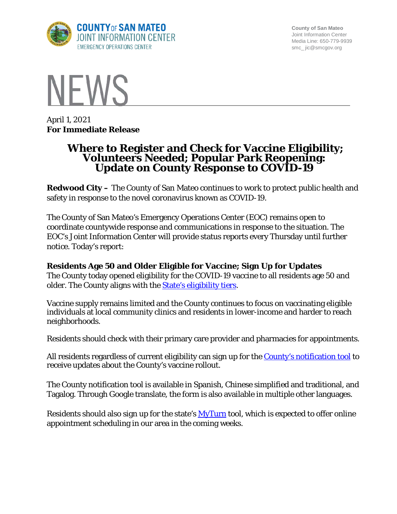

**County of San Mateo** Joint Information Center Media Line: 650-779-9939 smc\_ jic@smcgov.org



April 1, 2021 **For Immediate Release**

# **Where to Register and Check for Vaccine Eligibility; Volunteers Needed; Popular Park Reopening: Update on County Response to COVID-19**

**Redwood City –** The County of San Mateo continues to work to protect public health and safety in response to the novel coronavirus known as COVID-19.

The County of San Mateo's Emergency Operations Center (EOC) remains open to coordinate countywide response and communications in response to the situation. The EOC's Joint Information Center will provide status reports every Thursday until further notice. Today's report:

# **Residents Age 50 and Older Eligible for Vaccine; Sign Up for Updates**

The County today opened eligibility for the COVID-19 vaccine to all residents age 50 and older. The County aligns with the **State's eligibility tiers**.

Vaccine supply remains limited and the County continues to focus on vaccinating eligible individuals at local community clinics and residents in lower-income and harder to reach neighborhoods.

Residents should check with their primary care provider and pharmacies for appointments.

All residents regardless of current eligibility can sign up for the [County's notification tool](http://forms.office.com/Pages/ResponsePage.aspx?id=Nfb6DU2gzEin422hrwiD-S6Nu8Fm05tAlD6PWRPnVIxUOUo0N0NUM1VDRUtVMDlBMlZBNFFBOFVNVyQlQCN0PWcu&wdLOR=c539C3515-F3DE-944B-88F3-A8F48EC76AB3) to receive updates about the County's vaccine rollout.

The County notification tool is available in Spanish, Chinese simplified and traditional, and Tagalog. Through Google translate, the form is also available in multiple other languages.

Residents should also sign up for the state's **MyTurn** tool, which is expected to offer online appointment scheduling in our area in the coming weeks.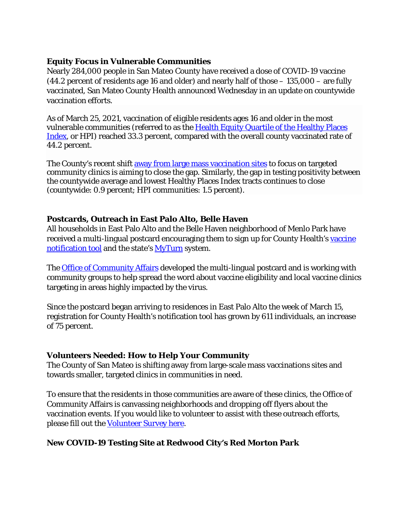#### **Equity Focus in Vulnerable Communities**

Nearly 284,000 people in San Mateo County have received a dose of COVID-19 vaccine (44.2 percent of residents age 16 and older) and nearly half of those – 135,000 – are fully vaccinated, San Mateo County Health announced Wednesday in an update on countywide vaccination efforts.

As of March 25, 2021, vaccination of eligible residents ages 16 and older in the most vulnerable communities (referred to as the [Health Equity Quartile of the Healthy Places](https://healthyplacesindex.org/)  [Index,](https://healthyplacesindex.org/) or HPI) reached 33.3 percent, compared with the overall county vaccinated rate of 44.2 percent.

The County's recent shift [away from large mass vaccination sites](https://www.smcgov.org/press-release/county-expands-access-covid-19-vaccines-communities-highly-impacted-virus) to focus on targeted community clinics is aiming to close the gap. Similarly, the gap in testing positivity between the countywide average and lowest Healthy Places Index tracts continues to close (countywide: 0.9 percent; HPI communities: 1.5 percent).

#### **Postcards, Outreach in East Palo Alto, Belle Haven**

All households in East Palo Alto and the Belle Haven neighborhood of Menlo Park have received a multi-lingual postcard encouraging them to sign up for County Health's vaccine [notification tool](https://forms.office.com/Pages/ResponsePage.aspx?id=Nfb6DU2gzEin422hrwiD-S6Nu8Fm05tAlD6PWRPnVIxUOUo0N0NUM1VDRUtVMDlBMlZBNFFBOFVNVyQlQCN0PWcu&wdLOR=c539C3515-F3DE-944B-88F3-A8F48EC76AB3) and the state's [MyTurn](https://myturn.ca.gov/landing) system.

The [Office of Community Affairs](https://cmo.smcgov.org/community-affairs) developed the multi-lingual postcard and is working with community groups to help spread the word about vaccine eligibility and local vaccine clinics targeting in areas highly impacted by the virus.

Since the postcard began arriving to residences in East Palo Alto the week of March 15, registration for County Health's notification tool has grown by 611 individuals, an increase of 75 percent.

# **Volunteers Needed: How to Help Your Community**

The County of San Mateo is shifting away from large-scale mass vaccinations sites and towards smaller, targeted clinics in communities in need.

To ensure that the residents in those communities are aware of these clinics, the Office of Community Affairs is canvassing neighborhoods and dropping off flyers about the vaccination events. If you would like to volunteer to assist with these outreach efforts, please fill out the [Volunteer Survey here.](https://forms.gle/6ntEDYZdTgiqne32A)

# **New COVID-19 Testing Site at Redwood City's Red Morton Park**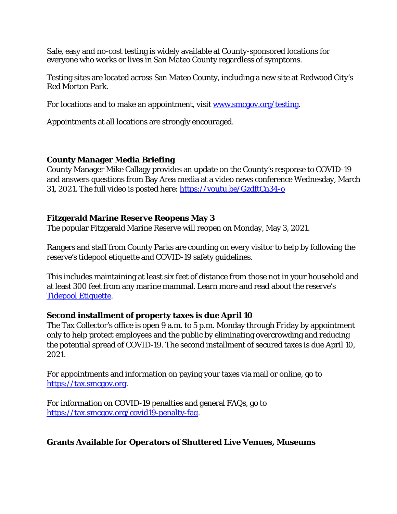Safe, easy and no-cost testing is widely available at County-sponsored locations for everyone who works or lives in San Mateo County regardless of symptoms.

Testing sites are located across San Mateo County, including a new site at Redwood City's Red Morton Park.

For locations and to make an appointment, visit [www.smcgov.org/testing.](http://www.smcgov.org/testing)

Appointments at all locations are strongly encouraged.

#### **County Manager Media Briefing**

County Manager Mike Callagy provides an update on the County's response to COVID-19 and answers questions from Bay Area media at a video news conference Wednesday, March 31, 2021. The full video is posted here:<https://youtu.be/GzdftCn34-o>

#### **Fitzgerald Marine Reserve Reopens May 3**

The popular Fitzgerald Marine Reserve will reopen on Monday, May 3, 2021.

Rangers and staff from County Parks are counting on every visitor to help by following the reserve's tidepool etiquette and COVID-19 safety guidelines.

This includes maintaining at least six feet of distance from those not in your household and at least 300 feet from any marine mammal. Learn more and read about the reserve's [Tidepool Etiquette.](https://parks.smcgov.org/press-release/fitzgerald-marine-reserve-reopens-monday-may-3)

#### **Second installment of property taxes is due April 10**

The Tax Collector's office is open 9 a.m. to 5 p.m. Monday through Friday by appointment only to help protect employees and the public by eliminating overcrowding and reducing the potential spread of COVID-19. The second installment of secured taxes is due April 10, 2021.

For appointments and information on paying your taxes via mail or online, go to [https://tax.smcgov.org.](https://tax.smcgov.org/)

For information on COVID-19 penalties and general FAQs, go to [https://tax.smcgov.org/covid19-penalty-faq.](https://tax.smcgov.org/covid19-penalty-faq)

#### **Grants Available for Operators of Shuttered Live Venues, Museums**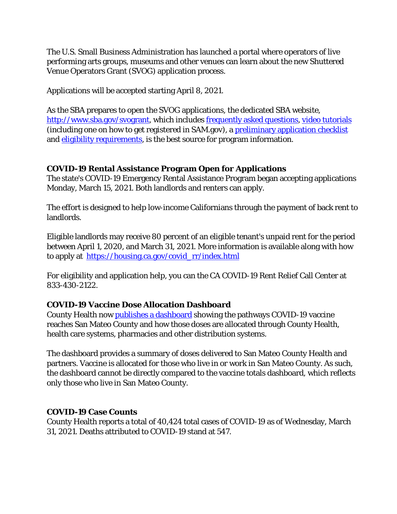The U.S. Small Business Administration has launched a portal where operators of live performing arts groups, museums and other venues can learn about the new Shuttered Venue Operators Grant (SVOG) application process.

Applications will be accepted starting April 8, 2021.

As the SBA prepares to open the SVOG applications, the dedicated SBA website, [http://www.sba.gov/svogrant,](http://www.sba.gov/svogrant) which includes [frequently asked questions,](https://www.sba.gov/document/support-shuttered-venue-operators-grants-faq) [video tutorials](https://www.sba.gov/funding-programs/loans/coronavirus-relief-options/shuttered-venue-operators-grant#section-header-12) (including one on how to get registered in SAM.gov), a [preliminary application checklist](https://www.sba.gov/document/support-shuttered-venue-operators-grant-preliminary-application-checklist) and [eligibility requirements,](https://www.sba.gov/document/support-shuttered-venue-operators-grant-eligibility-requirements) is the best source for program information.

# **COVID-19 Rental Assistance Program Open for Applications**

The state's COVID-19 Emergency Rental Assistance Program began accepting applications Monday, March 15, 2021. Both landlords and renters can apply.

The effort is designed to help low-income Californians through the payment of back rent to landlords.

Eligible landlords may receive 80 percent of an eligible tenant's unpaid rent for the period between April 1, 2020, and March 31, 2021. More information is available along with how to apply at [https://housing.ca.gov/covid\\_rr/index.html](https://housing.ca.gov/covid_rr/index.html)

For eligibility and application help, you can the CA COVID-19 Rent Relief Call Center at 833-430-2122.

# **COVID-19 Vaccine Dose Allocation Dashboard**

County Health now [publishes a dashboard](https://www.smchealth.org/data-dashboard/vaccine-dose-allocation) showing the pathways COVID-19 vaccine reaches San Mateo County and how those doses are allocated through County Health, health care systems, pharmacies and other distribution systems.

The dashboard provides a summary of doses delivered to San Mateo County Health and partners. Vaccine is allocated for those who live in or work in San Mateo County. As such, the dashboard cannot be directly compared to the vaccine totals dashboard, which reflects only those who live in San Mateo County.

# **COVID-19 Case Counts**

County Health reports a total of 40,424 total cases of COVID-19 as of Wednesday, March 31, 2021. Deaths attributed to COVID-19 stand at 547.